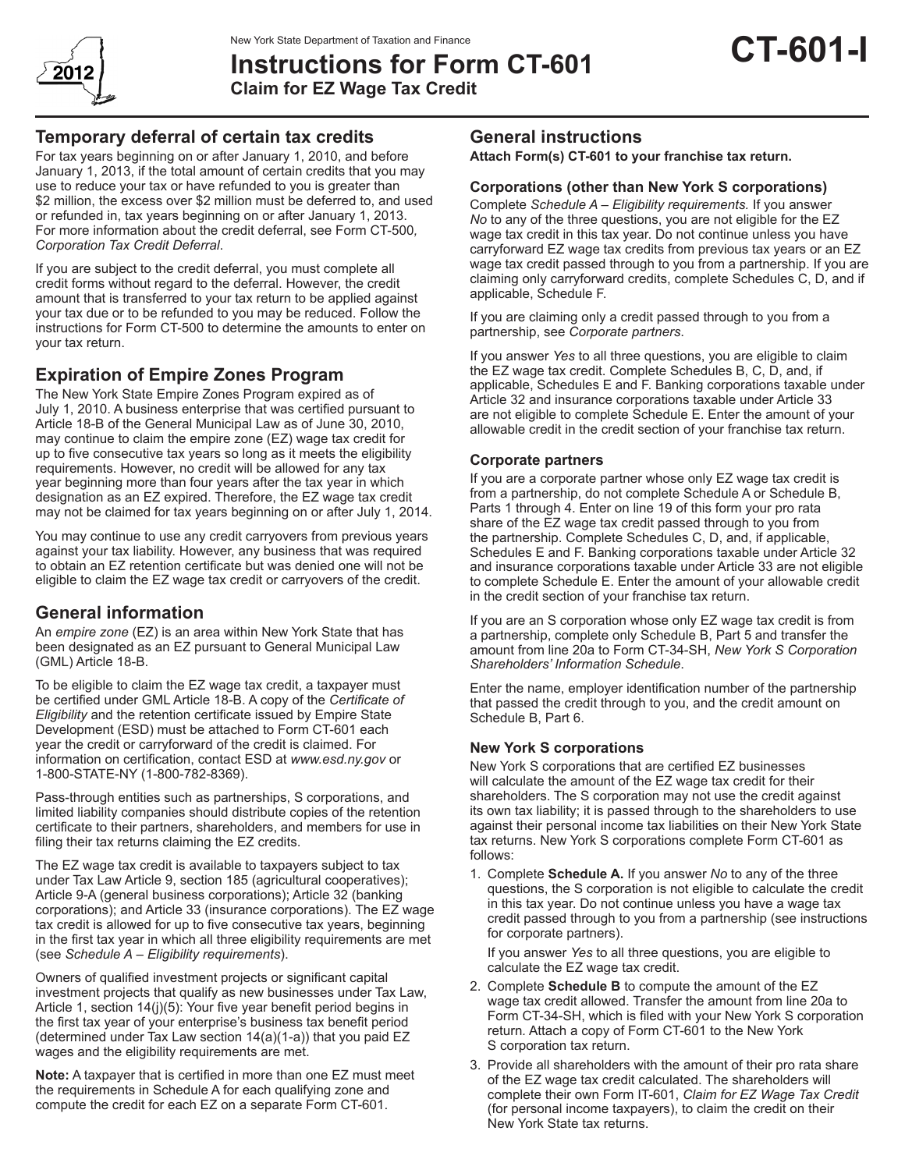

# **Instructions for Form CT-601 Claim for EZ Wage Tax Credit**

## **Temporary deferral of certain tax credits**

For tax years beginning on or after January 1, 2010, and before January 1, 2013, if the total amount of certain credits that you may use to reduce your tax or have refunded to you is greater than \$2 million, the excess over \$2 million must be deferred to, and used or refunded in, tax years beginning on or after January 1, 2013. For more information about the credit deferral, see Form CT-500*, Corporation Tax Credit Deferral*.

If you are subject to the credit deferral, you must complete all credit forms without regard to the deferral. However, the credit amount that is transferred to your tax return to be applied against your tax due or to be refunded to you may be reduced. Follow the instructions for Form CT-500 to determine the amounts to enter on your tax return.

# **Expiration of Empire Zones Program**

The New York State Empire Zones Program expired as of July 1, 2010. A business enterprise that was certified pursuant to Article 18-B of the General Municipal Law as of June 30, 2010, may continue to claim the empire zone (EZ) wage tax credit for up to five consecutive tax years so long as it meets the eligibility requirements. However, no credit will be allowed for any tax year beginning more than four years after the tax year in which designation as an EZ expired. Therefore, the EZ wage tax credit may not be claimed for tax years beginning on or after July 1, 2014.

You may continue to use any credit carryovers from previous years against your tax liability. However, any business that was required to obtain an EZ retention certificate but was denied one will not be eligible to claim the EZ wage tax credit or carryovers of the credit.

## **General information**

An *empire zone* (EZ) is an area within New York State that has been designated as an EZ pursuant to General Municipal Law (GML) Article 18-B.

To be eligible to claim the EZ wage tax credit, a taxpayer must be certified under GML Article 18-B. A copy of the *Certificate of Eligibility* and the retention certificate issued by Empire State Development (ESD) must be attached to Form CT-601 each year the credit or carryforward of the credit is claimed. For information on certification, contact ESD at *www.esd.ny.gov* or 1-800-STATE-NY (1-800-782-8369).

Pass-through entities such as partnerships, S corporations, and limited liability companies should distribute copies of the retention certificate to their partners, shareholders, and members for use in filing their tax returns claiming the EZ credits.

The EZ wage tax credit is available to taxpayers subject to tax under Tax Law Article 9, section 185 (agricultural cooperatives); Article 9-A (general business corporations); Article 32 (banking corporations); and Article 33 (insurance corporations). The EZ wage tax credit is allowed for up to five consecutive tax years, beginning in the first tax year in which all three eligibility requirements are met (see *Schedule A – Eligibility requirements*).

Owners of qualified investment projects or significant capital investment projects that qualify as new businesses under Tax Law, Article 1, section 14(j)(5): Your five year benefit period begins in the first tax year of your enterprise's business tax benefit period (determined under Tax Law section 14(a)(1-a)) that you paid EZ wages and the eligibility requirements are met.

**Note:** A taxpayer that is certified in more than one EZ must meet the requirements in Schedule A for each qualifying zone and compute the credit for each EZ on a separate Form CT-601.

## **General instructions**

**Attach Form(s) CT-601 to your franchise tax return.**

## **Corporations (other than New York S corporations)**

Complete *Schedule A* – *Eligibility requirements.* If you answer *No* to any of the three questions, you are not eligible for the EZ wage tax credit in this tax year. Do not continue unless you have carryforward EZ wage tax credits from previous tax years or an EZ wage tax credit passed through to you from a partnership. If you are claiming only carryforward credits, complete Schedules C, D, and if applicable, Schedule F.

If you are claiming only a credit passed through to you from a partnership, see *Corporate partners*.

If you answer *Yes* to all three questions, you are eligible to claim the EZ wage tax credit. Complete Schedules B, C, D, and, if applicable, Schedules E and F. Banking corporations taxable under Article 32 and insurance corporations taxable under Article 33 are not eligible to complete Schedule E. Enter the amount of your allowable credit in the credit section of your franchise tax return.

## **Corporate partners**

If you are a corporate partner whose only EZ wage tax credit is from a partnership, do not complete Schedule A or Schedule B, Parts 1 through 4. Enter on line 19 of this form your pro rata share of the EZ wage tax credit passed through to you from the partnership. Complete Schedules C, D, and, if applicable, Schedules E and F. Banking corporations taxable under Article 32 and insurance corporations taxable under Article 33 are not eligible to complete Schedule E. Enter the amount of your allowable credit in the credit section of your franchise tax return.

If you are an S corporation whose only EZ wage tax credit is from a partnership, complete only Schedule B, Part 5 and transfer the amount from line 20a to Form CT-34-SH, *New York S Corporation Shareholders' Information Schedule*.

Enter the name, employer identification number of the partnership that passed the credit through to you, and the credit amount on Schedule B, Part 6.

## **New York S corporations**

New York S corporations that are certified EZ businesses will calculate the amount of the EZ wage tax credit for their shareholders. The S corporation may not use the credit against its own tax liability; it is passed through to the shareholders to use against their personal income tax liabilities on their New York State tax returns. New York S corporations complete Form CT-601 as follows:

1. Complete **Schedule A.** If you answer *No* to any of the three questions, the S corporation is not eligible to calculate the credit in this tax year. Do not continue unless you have a wage tax credit passed through to you from a partnership (see instructions for corporate partners).

If you answer *Yes* to all three questions, you are eligible to calculate the EZ wage tax credit.

- 2. Complete **Schedule B** to compute the amount of the EZ wage tax credit allowed. Transfer the amount from line 20a to Form CT-34-SH, which is filed with your New York S corporation return*.* Attach a copy of Form CT-601 to the New York S corporation tax return.
- 3. Provide all shareholders with the amount of their pro rata share of the EZ wage tax credit calculated. The shareholders will complete their own Form IT-601, *Claim for EZ Wage Tax Credit*  (for personal income taxpayers), to claim the credit on their New York State tax returns.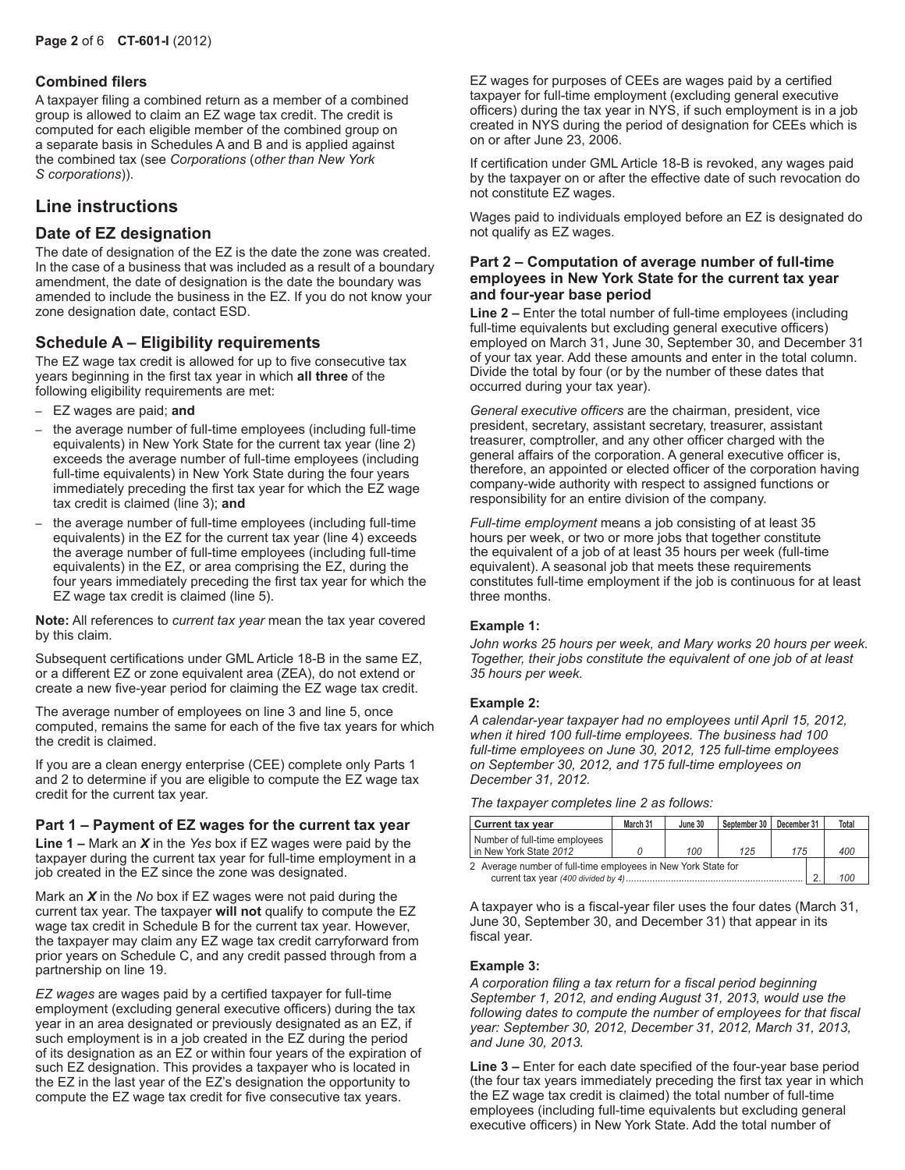#### **Combined filers**

A taxpayer filing a combined return as a member of a combined group is allowed to claim an EZ wage tax credit. The credit is computed for each eligible member of the combined group on a separate basis in Schedules A and B and is applied against the combined tax (see *Corporations* (*other than New York S corporations*)).

## **Line instructions**

## **Date of EZ designation**

The date of designation of the EZ is the date the zone was created. In the case of a business that was included as a result of a boundary amendment, the date of designation is the date the boundary was amended to include the business in the EZ. If you do not know your zone designation date, contact ESD.

### **Schedule A – Eligibility requirements**

The EZ wage tax credit is allowed for up to five consecutive tax years beginning in the first tax year in which **all three** of the following eligibility requirements are met:

- EZ wages are paid; **and**
- the average number of full-time employees (including full-time equivalents) in New York State for the current tax year (line 2) exceeds the average number of full-time employees (including full-time equivalents) in New York State during the four years immediately preceding the first tax year for which the EZ wage tax credit is claimed (line 3); **and**
- the average number of full-time employees (including full-time equivalents) in the EZ for the current tax year (line 4) exceeds the average number of full-time employees (including full-time equivalents) in the EZ, or area comprising the EZ, during the four years immediately preceding the first tax year for which the EZ wage tax credit is claimed (line 5).

**Note:** All references to *current tax year* mean the tax year covered by this claim.

Subsequent certifications under GML Article 18‑B in the same EZ, or a different EZ or zone equivalent area (ZEA), do not extend or create a new five-year period for claiming the EZ wage tax credit.

The average number of employees on line 3 and line 5, once computed, remains the same for each of the five tax years for which the credit is claimed.

If you are a clean energy enterprise (CEE) complete only Parts 1 and 2 to determine if you are eligible to compute the EZ wage tax credit for the current tax year.

#### **Part 1 – Payment of EZ wages for the current tax year**

**Line 1 –** Mark an *X* in the *Yes* box if EZ wages were paid by the taxpayer during the current tax year for full-time employment in a job created in the EZ since the zone was designated.

Mark an *X* in the *No* box if EZ wages were not paid during the current tax year. The taxpayer **will not** qualify to compute the EZ wage tax credit in Schedule B for the current tax year. However, the taxpayer may claim any EZ wage tax credit carryforward from prior years on Schedule C, and any credit passed through from a partnership on line 19.

*EZ wages* are wages paid by a certified taxpayer for full-time employment (excluding general executive officers) during the tax year in an area designated or previously designated as an EZ, if such employment is in a job created in the EZ during the period of its designation as an EZ or within four years of the expiration of such EZ designation. This provides a taxpayer who is located in the EZ in the last year of the EZ's designation the opportunity to compute the EZ wage tax credit for five consecutive tax years.

EZ wages for purposes of CEEs are wages paid by a certified taxpayer for full-time employment (excluding general executive officers) during the tax year in NYS, if such employment is in a job created in NYS during the period of designation for CEEs which is on or after June 23, 2006.

If certification under GML Article 18-B is revoked, any wages paid by the taxpayer on or after the effective date of such revocation do not constitute EZ wages.

Wages paid to individuals employed before an EZ is designated do not qualify as EZ wages.

#### **Part 2 – Computation of average number of full-time employees in New York State for the current tax year and four-year base period**

**Line 2 –** Enter the total number of full-time employees (including full-time equivalents but excluding general executive officers) employed on March 31, June 30, September 30, and December 31 of your tax year. Add these amounts and enter in the total column. Divide the total by four (or by the number of these dates that occurred during your tax year).

*General executive officers* are the chairman, president, vice president, secretary, assistant secretary, treasurer, assistant treasurer, comptroller, and any other officer charged with the general affairs of the corporation. A general executive officer is, therefore, an appointed or elected officer of the corporation having company-wide authority with respect to assigned functions or responsibility for an entire division of the company.

*Full-time employment* means a job consisting of at least 35 hours per week, or two or more jobs that together constitute the equivalent of a job of at least 35 hours per week (full-time equivalent). A seasonal job that meets these requirements constitutes full-time employment if the job is continuous for at least three months.

#### **Example 1:**

*John works 25 hours per week, and Mary works 20 hours per week. Together, their jobs constitute the equivalent of one job of at least 35 hours per week.*

#### **Example 2:**

*A calendar-year taxpayer had no employees until April 15, 2012, when it hired 100 full-time employees. The business had 100 full-time employees on June 30, 2012, 125 full-time employees on September 30, 2012, and 175 full-time employees on December 31, 2012.*

*The taxpayer completes line 2 as follows:*

|                                                               |     |  | Total |  |  |  |
|---------------------------------------------------------------|-----|--|-------|--|--|--|
| 125                                                           | 175 |  | 400   |  |  |  |
| 2 Average number of full-time employees in New York State for |     |  |       |  |  |  |
|                                                               |     |  |       |  |  |  |

A taxpayer who is a fiscal*-*year filer uses the four dates (March 31, June 30, September 30, and December 31) that appear in its fiscal year.

#### **Example 3:**

*A corporation filing a tax return for a fiscal period beginning September 1, 2012, and ending August 31, 2013, would use the following dates to compute the number of employees for that fiscal year: September 30, 2012, December 31, 2012, March 31, 2013, and June 30, 2013.*

**Line 3 –** Enter for each date specified of the four-year base period (the four tax years immediately preceding the first tax year in which the EZ wage tax credit is claimed) the total number of full-time employees (including full-time equivalents but excluding general executive officers) in New York State. Add the total number of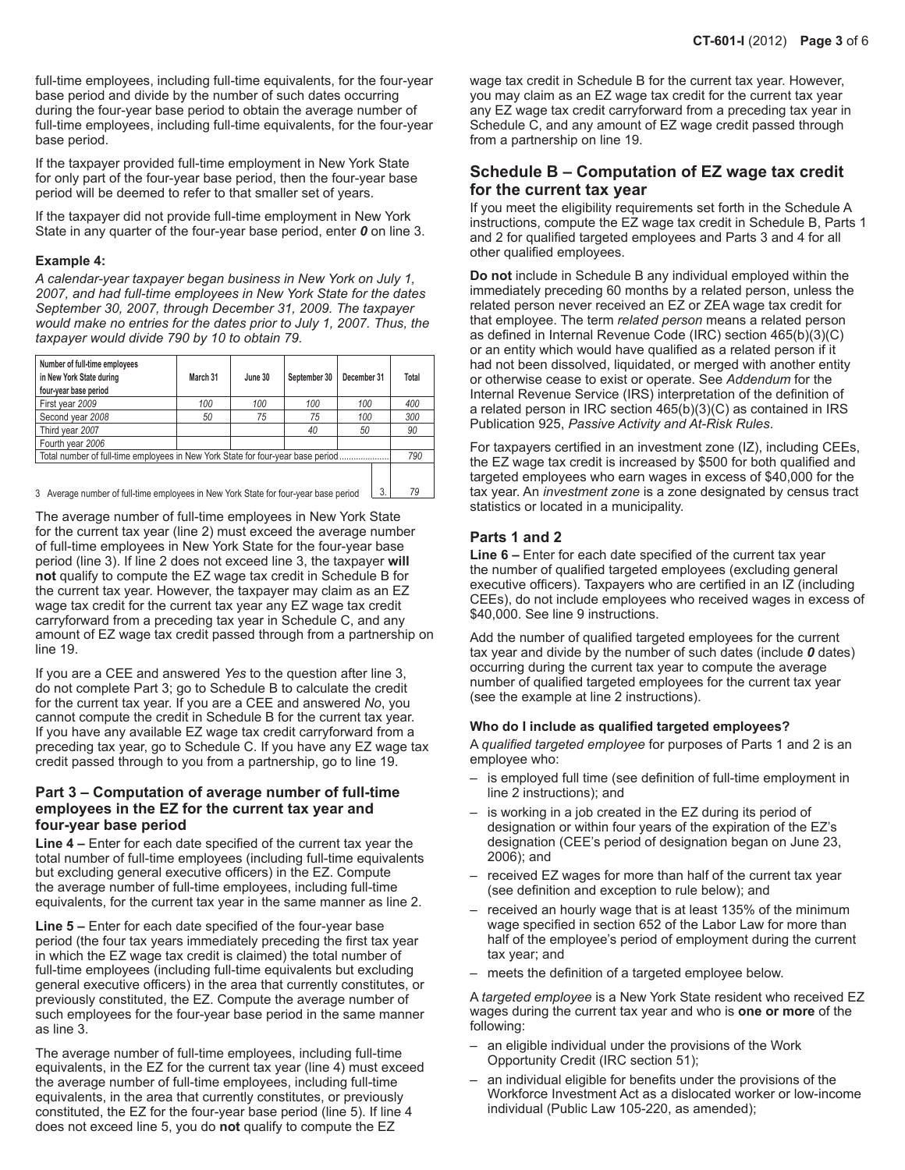full-time employees, including full-time equivalents, for the four-year base period and divide by the number of such dates occurring during the four-year base period to obtain the average number of full-time employees, including full-time equivalents, for the four-year base period.

If the taxpayer provided full-time employment in New York State for only part of the four-year base period, then the four-year base period will be deemed to refer to that smaller set of years.

If the taxpayer did not provide full-time employment in New York State in any quarter of the four-year base period, enter *0* on line 3.

#### **Example 4:**

*A calendar-year taxpayer began business in New York on July 1, 2007, and had full‑time employees in New York State for the dates September 30, 2007, through December 31, 2009. The taxpayer would make no entries for the dates prior to July 1, 2007. Thus, the taxpayer would divide 790 by 10 to obtain 79.*

| Number of full-time employees<br>in New York State during<br>four-year base period | March 31 | June 30 | September 30 | December 31 | Total |  |
|------------------------------------------------------------------------------------|----------|---------|--------------|-------------|-------|--|
| First year 2009                                                                    | 100      | 100     | 100          | 100         | 400   |  |
| Second year 2008                                                                   | 50       | 75      | 75           | 100         | 300   |  |
| Third year 2007                                                                    |          |         | 40           | 50          | 90    |  |
| Fourth year 2006                                                                   |          |         |              |             |       |  |
| Total number of full-time employees in New York State for four-year base period    |          |         |              |             |       |  |
|                                                                                    |          |         |              |             |       |  |

3 Average number of full-time employees in New York State for four-year base period

The average number of full-time employees in New York State for the current tax year (line 2) must exceed the average number of full-time employees in New York State for the four-year base period (line 3). If line 2 does not exceed line 3, the taxpayer **will not** qualify to compute the EZ wage tax credit in Schedule B for the current tax year. However, the taxpayer may claim as an EZ wage tax credit for the current tax year any EZ wage tax credit carryforward from a preceding tax year in Schedule C, and any amount of EZ wage tax credit passed through from a partnership on line 19.

If you are a CEE and answered *Yes* to the question after line 3, do not complete Part 3; go to Schedule B to calculate the credit for the current tax year. If you are a CEE and answered *No*, you cannot compute the credit in Schedule B for the current tax year. If you have any available EZ wage tax credit carryforward from a preceding tax year, go to Schedule C. If you have any EZ wage tax credit passed through to you from a partnership, go to line 19.

#### **Part 3 – Computation of average number of full-time employees in the EZ for the current tax year and four-year base period**

**Line 4 –** Enter for each date specified of the current tax year the total number of full-time employees (including full-time equivalents but excluding general executive officers) in the EZ. Compute the average number of full-time employees, including full-time equivalents, for the current tax year in the same manner as line 2.

Line 5 – Enter for each date specified of the four-year base period (the four tax years immediately preceding the first tax year in which the EZ wage tax credit is claimed) the total number of full-time employees (including full-time equivalents but excluding general executive officers) in the area that currently constitutes, or previously constituted, the EZ. Compute the average number of such employees for the four-year base period in the same manner as line 3.

The average number of full-time employees, including full-time equivalents, in the EZ for the current tax year (line 4) must exceed the average number of full-time employees, including full-time equivalents, in the area that currently constitutes, or previously constituted, the EZ for the four-year base period (line 5). If line 4 does not exceed line 5, you do **not** qualify to compute the EZ

wage tax credit in Schedule B for the current tax year. However, you may claim as an EZ wage tax credit for the current tax year any EZ wage tax credit carryforward from a preceding tax year in Schedule C, and any amount of EZ wage credit passed through from a partnership on line 19.

## **Schedule B – Computation of EZ wage tax credit for the current tax year**

If you meet the eligibility requirements set forth in the Schedule A instructions, compute the EZ wage tax credit in Schedule B, Parts 1 and 2 for qualified targeted employees and Parts 3 and 4 for all other qualified employees.

**Do not** include in Schedule B any individual employed within the immediately preceding 60 months by a related person, unless the related person never received an EZ or ZEA wage tax credit for that employee. The term *related person* means a related person as defined in Internal Revenue Code (IRC) section 465(b)(3)(C) or an entity which would have qualified as a related person if it had not been dissolved, liquidated, or merged with another entity or otherwise cease to exist or operate. See *Addendum* for the Internal Revenue Service (IRS) interpretation of the definition of a related person in IRC section 465(b)(3)(C) as contained in IRS Publication 925, *Passive Activity and At-Risk Rules*.

For taxpayers certified in an investment zone (IZ), including CEEs, the EZ wage tax credit is increased by \$500 for both qualified and targeted employees who earn wages in excess of \$40,000 for the tax year. An *investment zone* is a zone designated by census tract statistics or located in a municipality.

#### **Parts 1 and 2**

**Line 6 –** Enter for each date specified of the current tax year the number of qualified targeted employees (excluding general executive officers). Taxpayers who are certified in an IZ (including CEEs), do not include employees who received wages in excess of \$40,000. See line 9 instructions.

Add the number of qualified targeted employees for the current tax year and divide by the number of such dates (include *0* dates) occurring during the current tax year to compute the average number of qualified targeted employees for the current tax year (see the example at line 2 instructions).

#### **Who do I include as qualified targeted employees?**

A *qualified targeted employee* for purposes of Parts 1 and 2 is an employee who:

- is employed full time (see definition of full-time employment in line 2 instructions); and
- is working in a job created in the EZ during its period of designation or within four years of the expiration of the EZ's designation (CEE's period of designation began on June 23, 2006); and
- received EZ wages for more than half of the current tax year (see definition and exception to rule below); and
- received an hourly wage that is at least 135% of the minimum wage specified in section 652 of the Labor Law for more than half of the employee's period of employment during the current tax year; and
- meets the definition of a targeted employee below.

A *targeted employee* is a New York State resident who received EZ wages during the current tax year and who is **one or more** of the following:

- an eligible individual under the provisions of the Work Opportunity Credit (IRC section 51);
- an individual eligible for benefits under the provisions of the Workforce Investment Act as a dislocated worker or low-income individual (Public Law 105-220, as amended);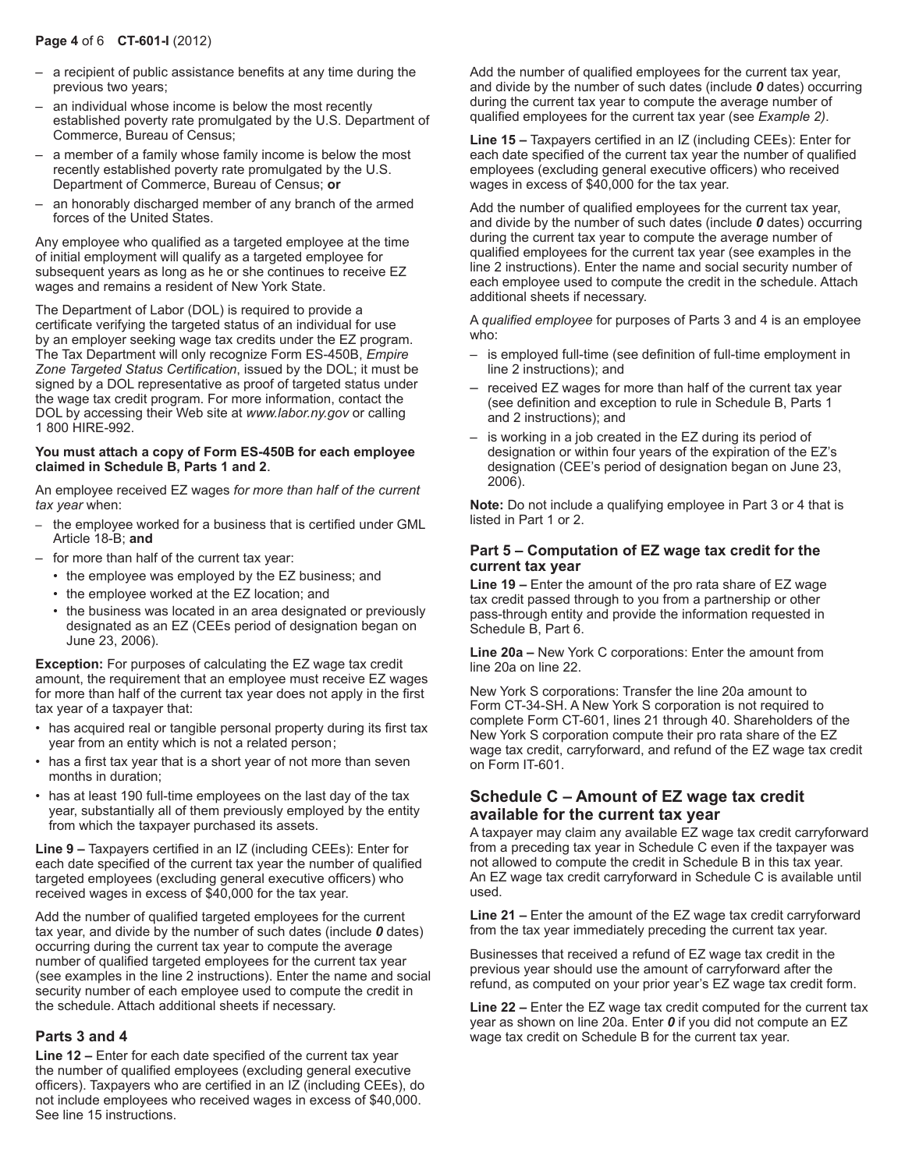#### **Page 4** of 6 **CT-601-I** (2012)

- a recipient of public assistance benefits at any time during the previous two years;
- an individual whose income is below the most recently established poverty rate promulgated by the U.S. Department of Commerce, Bureau of Census;
- a member of a family whose family income is below the most recently established poverty rate promulgated by the U.S. Department of Commerce, Bureau of Census; **or**
- an honorably discharged member of any branch of the armed forces of the United States.

Any employee who qualified as a targeted employee at the time of initial employment will qualify as a targeted employee for subsequent years as long as he or she continues to receive EZ wages and remains a resident of New York State.

The Department of Labor (DOL) is required to provide a certificate verifying the targeted status of an individual for use by an employer seeking wage tax credits under the EZ program. The Tax Department will only recognize Form ES-450B, *Empire Zone Targeted Status Certification*, issued by the DOL; it must be signed by a DOL representative as proof of targeted status under the wage tax credit program. For more information, contact the DOL by accessing their Web site at *www.labor.ny.gov* or calling 1 800 HIRE‑992.

#### **You must attach a copy of Form ES-450B for each employee claimed in Schedule B, Parts 1 and 2**.

An employee received EZ wages *for more than half of the current tax year* when:

- the employee worked for a business that is certified under GML Article 18-B; **and**
- for more than half of the current tax year:
	- the employee was employed by the EZ business; and
	- the employee worked at the EZ location; and
	- the business was located in an area designated or previously designated as an EZ (CEEs period of designation began on June 23, 2006).

**Exception:** For purposes of calculating the EZ wage tax credit amount, the requirement that an employee must receive EZ wages for more than half of the current tax year does not apply in the first tax year of a taxpayer that:

- has acquired real or tangible personal property during its first tax year from an entity which is not a related person;
- has a first tax year that is a short year of not more than seven months in duration;
- has at least 190 full-time employees on the last day of the tax year, substantially all of them previously employed by the entity from which the taxpayer purchased its assets.

**Line 9 –** Taxpayers certified in an IZ (including CEEs): Enter for each date specified of the current tax year the number of qualified targeted employees (excluding general executive officers) who received wages in excess of \$40,000 for the tax year.

Add the number of qualified targeted employees for the current tax year, and divide by the number of such dates (include *0* dates) occurring during the current tax year to compute the average number of qualified targeted employees for the current tax year (see examples in the line 2 instructions). Enter the name and social security number of each employee used to compute the credit in the schedule. Attach additional sheets if necessary.

#### **Parts 3 and 4**

**Line 12 –** Enter for each date specified of the current tax year the number of qualified employees (excluding general executive officers). Taxpayers who are certified in an IZ (including CEEs), do not include employees who received wages in excess of \$40,000. See line 15 instructions.

Add the number of qualified employees for the current tax year, and divide by the number of such dates (include *0* dates) occurring during the current tax year to compute the average number of qualified employees for the current tax year (see *Example 2)*.

**Line 15 –** Taxpayers certified in an IZ (including CEEs): Enter for each date specified of the current tax year the number of qualified employees (excluding general executive officers) who received wages in excess of \$40,000 for the tax year.

Add the number of qualified employees for the current tax year, and divide by the number of such dates (include *0* dates) occurring during the current tax year to compute the average number of qualified employees for the current tax year (see examples in the line 2 instructions). Enter the name and social security number of each employee used to compute the credit in the schedule. Attach additional sheets if necessary.

A *qualified employee* for purposes of Parts 3 and 4 is an employee who:

- is employed full‑time (see definition of full-time employment in line 2 instructions); and
- received EZ wages for more than half of the current tax year (see definition and exception to rule in Schedule B, Parts 1 and 2 instructions); and
- is working in a job created in the EZ during its period of designation or within four years of the expiration of the EZ's designation (CEE's period of designation began on June 23, 2006).

**Note:** Do not include a qualifying employee in Part 3 or 4 that is listed in Part 1 or 2.

#### **Part 5 – Computation of EZ wage tax credit for the current tax year**

**Line 19 –** Enter the amount of the pro rata share of EZ wage tax credit passed through to you from a partnership or other pass-through entity and provide the information requested in Schedule B, Part 6.

**Line 20a –** New York C corporations: Enter the amount from line 20a on line 22.

New York S corporations: Transfer the line 20a amount to Form CT-34-SH. A New York S corporation is not required to complete Form CT-601, lines 21 through 40. Shareholders of the New York S corporation compute their pro rata share of the EZ wage tax credit, carryforward, and refund of the EZ wage tax credit on Form IT-601.

### **Schedule C – Amount of EZ wage tax credit available for the current tax year**

A taxpayer may claim any available EZ wage tax credit carryforward from a preceding tax year in Schedule C even if the taxpayer was not allowed to compute the credit in Schedule B in this tax year. An EZ wage tax credit carryforward in Schedule C is available until used.

**Line 21 –** Enter the amount of the EZ wage tax credit carryforward from the tax year immediately preceding the current tax year.

Businesses that received a refund of EZ wage tax credit in the previous year should use the amount of carryforward after the refund, as computed on your prior year's EZ wage tax credit form.

**Line 22 –** Enter the EZ wage tax credit computed for the current tax year as shown on line 20a. Enter *0* if you did not compute an EZ wage tax credit on Schedule B for the current tax year.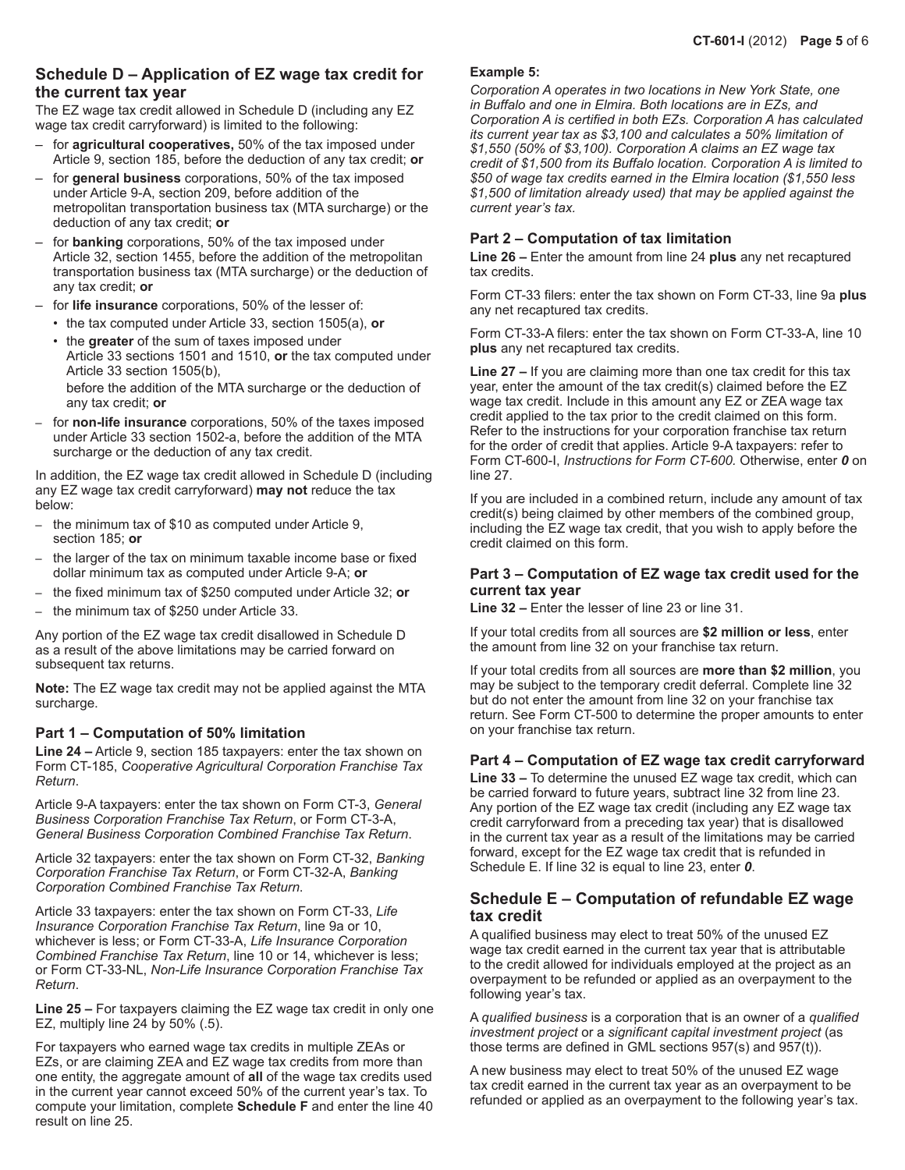### **Schedule D – Application of EZ wage tax credit for the current tax year**

The EZ wage tax credit allowed in Schedule D (including any EZ wage tax credit carryforward) is limited to the following:

- for **agricultural cooperatives,** 50% of the tax imposed under Article 9, section 185, before the deduction of any tax credit; **or**
- for **general business** corporations, 50% of the tax imposed under Article 9-A, section 209, before addition of the metropolitan transportation business tax (MTA surcharge) or the deduction of any tax credit; **or**
- for **banking** corporations, 50% of the tax imposed under Article 32, section 1455, before the addition of the metropolitan transportation business tax (MTA surcharge) or the deduction of any tax credit; **or**
- for **life insurance** corporations, 50% of the lesser of:
	- the tax computed under Article 33, section 1505(a), **or**
	- the **greater** of the sum of taxes imposed under Article 33 sections 1501 and 1510, **or** the tax computed under Article 33 section 1505(b), before the addition of the MTA surcharge or the deduction of any tax credit; **or**
- for **non-life insurance** corporations, 50% of the taxes imposed under Article 33 section 1502-a, before the addition of the MTA surcharge or the deduction of any tax credit.

In addition, the EZ wage tax credit allowed in Schedule D (including any EZ wage tax credit carryforward) **may not** reduce the tax below:

- the minimum tax of \$10 as computed under Article 9, section 185; **or**
- the larger of the tax on minimum taxable income base or fixed dollar minimum tax as computed under Article 9-A; **or**
- the fixed minimum tax of \$250 computed under Article 32; **or**
- the minimum tax of \$250 under Article 33.

Any portion of the EZ wage tax credit disallowed in Schedule D as a result of the above limitations may be carried forward on subsequent tax returns.

**Note:** The EZ wage tax credit may not be applied against the MTA surcharge.

#### **Part 1 – Computation of 50% limitation**

**Line 24 –** Article 9, section 185 taxpayers: enter the tax shown on Form CT-185, *Cooperative Agricultural Corporation Franchise Tax Return*.

Article 9-A taxpayers: enter the tax shown on Form CT-3, *General Business Corporation Franchise Tax Return*, or Form CT-3-A, *General Business Corporation Combined Franchise Tax Return*.

Article 32 taxpayers: enter the tax shown on Form CT-32, *Banking Corporation Franchise Tax Return*, or Form CT-32-A, *Banking Corporation Combined Franchise Tax Return*.

Article 33 taxpayers: enter the tax shown on Form CT-33, *Life Insurance Corporation Franchise Tax Return*, line 9a or 10, whichever is less; or Form CT-33-A, *Life Insurance Corporation Combined Franchise Tax Return*, line 10 or 14, whichever is less; or Form CT-33-NL, *Non-Life Insurance Corporation Franchise Tax Return*.

**Line 25 –** For taxpayers claiming the EZ wage tax credit in only one EZ, multiply line 24 by 50% (.5).

For taxpayers who earned wage tax credits in multiple ZEAs or EZs, or are claiming ZEA and EZ wage tax credits from more than one entity, the aggregate amount of **all** of the wage tax credits used in the current year cannot exceed 50% of the current year's tax. To compute your limitation, complete **Schedule F** and enter the line 40 result on line 25.

#### **Example 5:**

*Corporation A operates in two locations in New York State, one in Buffalo and one in Elmira. Both locations are in EZs, and Corporation A is certified in both EZs. Corporation A has calculated its current year tax as \$3,100 and calculates a 50% limitation of \$1,550 (50% of \$3,100). Corporation A claims an EZ wage tax credit of \$1,500 from its Buffalo location. Corporation A is limited to \$50 of wage tax credits earned in the Elmira location (\$1,550 less \$1,500 of limitation already used) that may be applied against the current year's tax.*

#### **Part 2 – Computation of tax limitation**

**Line 26 –** Enter the amount from line 24 **plus** any net recaptured tax credits.

Form CT-33 filers: enter the tax shown on Form CT‑33, line 9a **plus** any net recaptured tax credits.

Form CT‑33‑A filers: enter the tax shown on Form CT-33-A, line 10 **plus** any net recaptured tax credits.

**Line 27 –** If you are claiming more than one tax credit for this tax year, enter the amount of the tax credit(s) claimed before the EZ wage tax credit. Include in this amount any EZ or ZEA wage tax credit applied to the tax prior to the credit claimed on this form. Refer to the instructions for your corporation franchise tax return for the order of credit that applies. Article 9-A taxpayers: refer to Form CT-600-I, *Instructions for Form CT‑600.* Otherwise, enter *0* on line 27.

If you are included in a combined return, include any amount of tax credit(s) being claimed by other members of the combined group, including the EZ wage tax credit, that you wish to apply before the credit claimed on this form.

#### **Part 3 – Computation of EZ wage tax credit used for the current tax year**

**Line 32 –** Enter the lesser of line 23 or line 31.

If your total credits from all sources are **\$2 million or less**, enter the amount from line 32 on your franchise tax return.

If your total credits from all sources are **more than \$2 million**, you may be subject to the temporary credit deferral. Complete line 32 but do not enter the amount from line 32 on your franchise tax return. See Form CT-500 to determine the proper amounts to enter on your franchise tax return.

#### **Part 4 – Computation of EZ wage tax credit carryforward**

**Line 33 –** To determine the unused EZ wage tax credit, which can be carried forward to future years, subtract line 32 from line 23. Any portion of the EZ wage tax credit (including any EZ wage tax credit carryforward from a preceding tax year) that is disallowed in the current tax year as a result of the limitations may be carried forward, except for the EZ wage tax credit that is refunded in Schedule E. If line 32 is equal to line 23, enter *0*.

### **Schedule E – Computation of refundable EZ wage tax credit**

A qualified business may elect to treat 50% of the unused EZ wage tax credit earned in the current tax year that is attributable to the credit allowed for individuals employed at the project as an overpayment to be refunded or applied as an overpayment to the following year's tax.

A *qualified business* is a corporation that is an owner of a *qualified investment project* or a *significant capital investment project* (as those terms are defined in GML sections 957(s) and 957(t)).

A new business may elect to treat 50% of the unused EZ wage tax credit earned in the current tax year as an overpayment to be refunded or applied as an overpayment to the following year's tax.